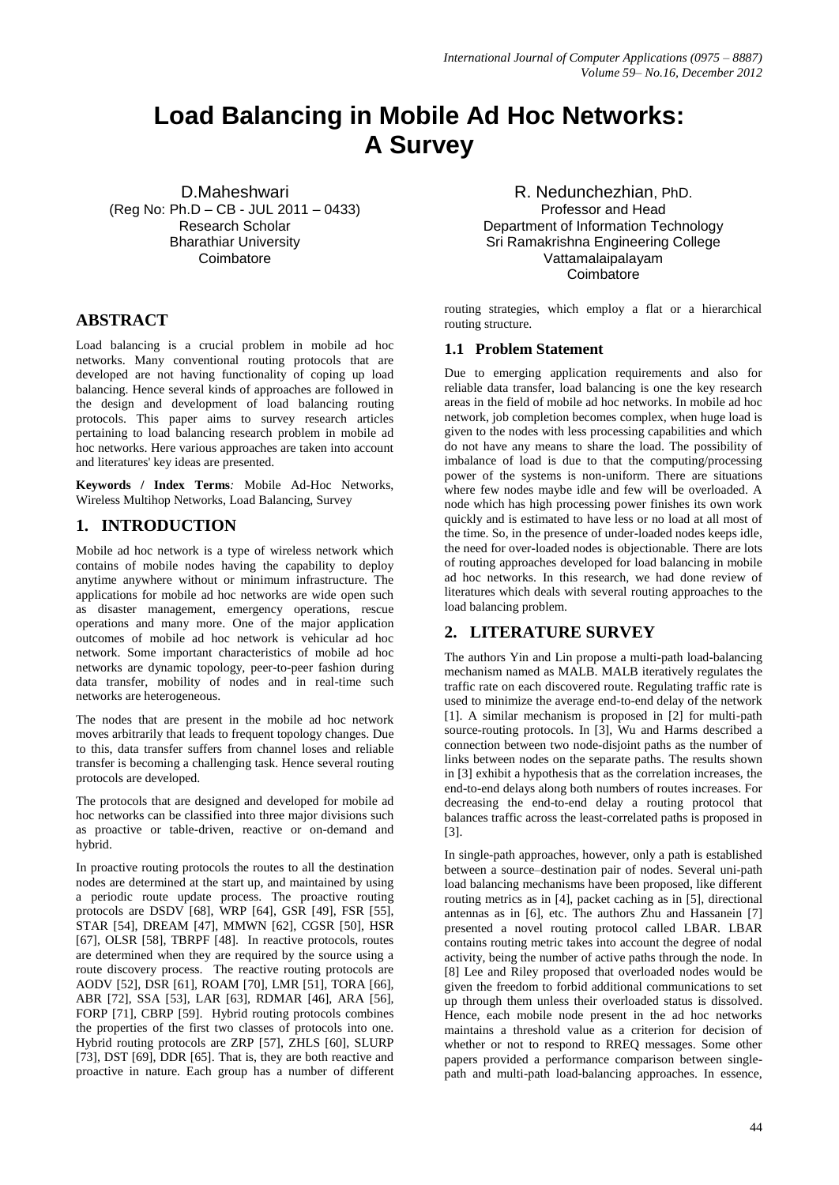# **Load Balancing in Mobile Ad Hoc Networks: A Survey**

D.Maheshwari (Reg No: Ph.D – CB - JUL 2011 – 0433) Research Scholar Bharathiar University **Coimbatore** 

# **ABSTRACT**

Load balancing is a crucial problem in mobile ad hoc networks. Many conventional routing protocols that are developed are not having functionality of coping up load balancing. Hence several kinds of approaches are followed in the design and development of load balancing routing protocols. This paper aims to survey research articles pertaining to load balancing research problem in mobile ad hoc networks. Here various approaches are taken into account and literatures' key ideas are presented.

**Keywords / Index Terms***:* Mobile Ad-Hoc Networks, Wireless Multihop Networks, Load Balancing, Survey

# **1. INTRODUCTION**

Mobile ad hoc network is a type of wireless network which contains of mobile nodes having the capability to deploy anytime anywhere without or minimum infrastructure. The applications for mobile ad hoc networks are wide open such as disaster management, emergency operations, rescue operations and many more. One of the major application outcomes of mobile ad hoc network is vehicular ad hoc network. Some important characteristics of mobile ad hoc networks are dynamic topology, peer-to-peer fashion during data transfer, mobility of nodes and in real-time such networks are heterogeneous.

The nodes that are present in the mobile ad hoc network moves arbitrarily that leads to frequent topology changes. Due to this, data transfer suffers from channel loses and reliable transfer is becoming a challenging task. Hence several routing protocols are developed.

The protocols that are designed and developed for mobile ad hoc networks can be classified into three major divisions such as proactive or table-driven, reactive or on-demand and hybrid.

In proactive routing protocols the routes to all the destination nodes are determined at the start up, and maintained by using a periodic route update process. The proactive routing protocols are DSDV [68], WRP [64], GSR [49], FSR [55], STAR [54], DREAM [47], MMWN [62], CGSR [50], HSR [67], OLSR [58], TBRPF [48]. In reactive protocols, routes are determined when they are required by the source using a route discovery process. The reactive routing protocols are AODV [52], DSR [61], ROAM [70], LMR [51], TORA [66], ABR [72], SSA [53], LAR [63], RDMAR [46], ARA [56], FORP [71], CBRP [59]. Hybrid routing protocols combines the properties of the first two classes of protocols into one. Hybrid routing protocols are ZRP [57], ZHLS [60], SLURP [73], DST [69], DDR [65]. That is, they are both reactive and proactive in nature. Each group has a number of different

R. Nedunchezhian, PhD. Professor and Head Department of Information Technology Sri Ramakrishna Engineering College Vattamalaipalayam **Coimbatore** 

routing strategies, which employ a flat or a hierarchical routing structure.

## **1.1 Problem Statement**

Due to emerging application requirements and also for reliable data transfer, load balancing is one the key research areas in the field of mobile ad hoc networks. In mobile ad hoc network, job completion becomes complex, when huge load is given to the nodes with less processing capabilities and which do not have any means to share the load. The possibility of imbalance of load is due to that the computing/processing power of the systems is non-uniform. There are situations where few nodes maybe idle and few will be overloaded. A node which has high processing power finishes its own work quickly and is estimated to have less or no load at all most of the time. So, in the presence of under-loaded nodes keeps idle, the need for over-loaded nodes is objectionable. There are lots of routing approaches developed for load balancing in mobile ad hoc networks. In this research, we had done review of literatures which deals with several routing approaches to the load balancing problem.

# **2. LITERATURE SURVEY**

The authors Yin and Lin propose a multi-path load-balancing mechanism named as MALB. MALB iteratively regulates the traffic rate on each discovered route. Regulating traffic rate is used to minimize the average end-to-end delay of the network [1]. A similar mechanism is proposed in [2] for multi-path source-routing protocols. In [3], Wu and Harms described a connection between two node-disjoint paths as the number of links between nodes on the separate paths. The results shown in [3] exhibit a hypothesis that as the correlation increases, the end-to-end delays along both numbers of routes increases. For decreasing the end-to-end delay a routing protocol that balances traffic across the least-correlated paths is proposed in [3].

In single-path approaches, however, only a path is established between a source–destination pair of nodes. Several uni-path load balancing mechanisms have been proposed, like different routing metrics as in [4], packet caching as in [5], directional antennas as in [6], etc. The authors Zhu and Hassanein [7] presented a novel routing protocol called LBAR. LBAR contains routing metric takes into account the degree of nodal activity, being the number of active paths through the node. In [8] Lee and Riley proposed that overloaded nodes would be given the freedom to forbid additional communications to set up through them unless their overloaded status is dissolved. Hence, each mobile node present in the ad hoc networks maintains a threshold value as a criterion for decision of whether or not to respond to RREQ messages. Some other papers provided a performance comparison between singlepath and multi-path load-balancing approaches. In essence,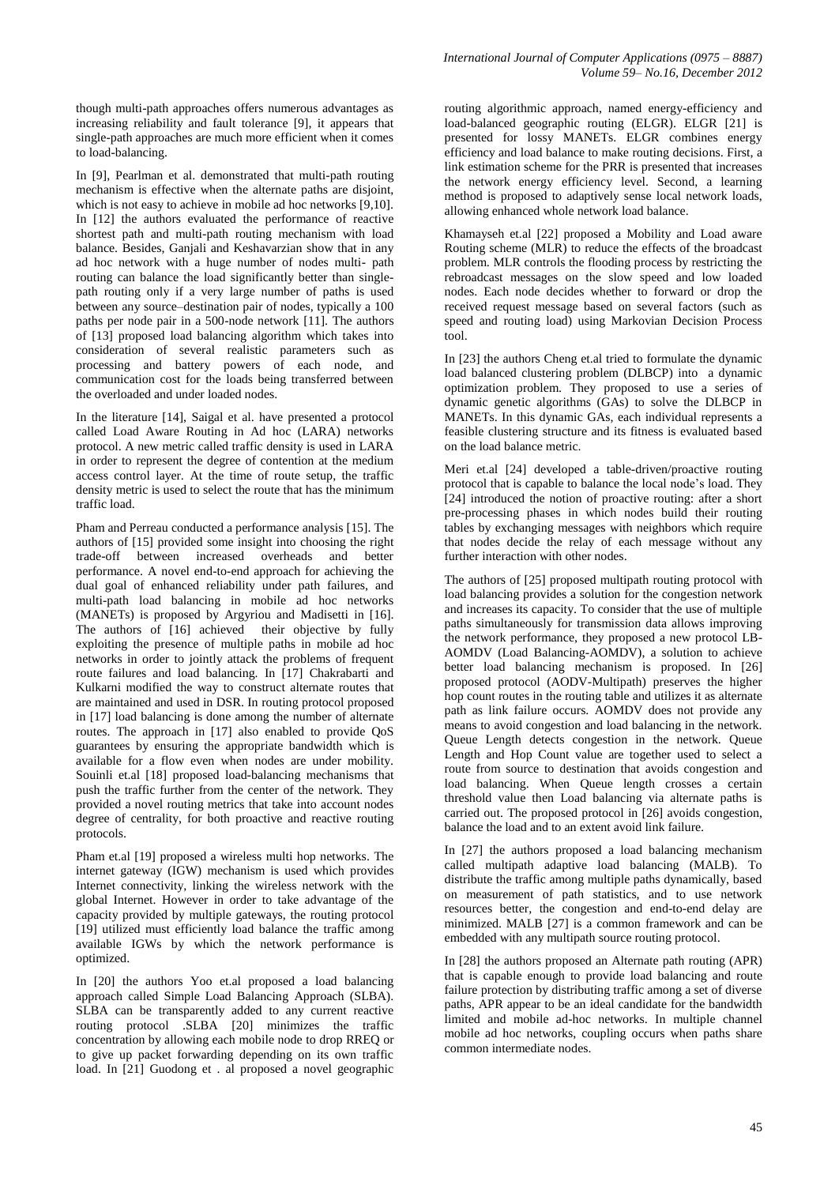though multi-path approaches offers numerous advantages as increasing reliability and fault tolerance [9], it appears that single-path approaches are much more efficient when it comes to load-balancing.

In [9], Pearlman et al. demonstrated that multi-path routing mechanism is effective when the alternate paths are disjoint, which is not easy to achieve in mobile ad hoc networks [9,10]. In [12] the authors evaluated the performance of reactive shortest path and multi-path routing mechanism with load balance. Besides, Ganjali and Keshavarzian show that in any ad hoc network with a huge number of nodes multi- path routing can balance the load significantly better than singlepath routing only if a very large number of paths is used between any source–destination pair of nodes, typically a 100 paths per node pair in a 500-node network [11]. The authors of [13] proposed load balancing algorithm which takes into consideration of several realistic parameters such as processing and battery powers of each node, and communication cost for the loads being transferred between the overloaded and under loaded nodes.

In the literature [14], Saigal et al. have presented a protocol called Load Aware Routing in Ad hoc (LARA) networks protocol. A new metric called traffic density is used in LARA in order to represent the degree of contention at the medium access control layer. At the time of route setup, the traffic density metric is used to select the route that has the minimum traffic load.

Pham and Perreau conducted a performance analysis [15]. The authors of [15] provided some insight into choosing the right trade-off between increased overheads and better performance. A novel end-to-end approach for achieving the dual goal of enhanced reliability under path failures, and multi-path load balancing in mobile ad hoc networks (MANETs) is proposed by Argyriou and Madisetti in [16]. The authors of [16] achieved their objective by fully exploiting the presence of multiple paths in mobile ad hoc networks in order to jointly attack the problems of frequent route failures and load balancing. In [17] Chakrabarti and Kulkarni modified the way to construct alternate routes that are maintained and used in DSR. In routing protocol proposed in [17] load balancing is done among the number of alternate routes. The approach in [17] also enabled to provide QoS guarantees by ensuring the appropriate bandwidth which is available for a flow even when nodes are under mobility. Souinli et.al [18] proposed load-balancing mechanisms that push the traffic further from the center of the network. They provided a novel routing metrics that take into account nodes degree of centrality, for both proactive and reactive routing protocols.

Pham et.al [19] proposed a wireless multi hop networks. The internet gateway (IGW) mechanism is used which provides Internet connectivity, linking the wireless network with the global Internet. However in order to take advantage of the capacity provided by multiple gateways, the routing protocol [19] utilized must efficiently load balance the traffic among available IGWs by which the network performance is optimized.

In [20] the authors Yoo et.al proposed a load balancing approach called Simple Load Balancing Approach (SLBA). SLBA can be transparently added to any current reactive routing protocol .SLBA [20] minimizes the traffic concentration by allowing each mobile node to drop RREQ or to give up packet forwarding depending on its own traffic load. In [21] Guodong et . al proposed a novel geographic routing algorithmic approach, named energy-efficiency and load-balanced geographic routing (ELGR). ELGR [21] is presented for lossy MANETs. ELGR combines energy efficiency and load balance to make routing decisions. First, a link estimation scheme for the PRR is presented that increases the network energy efficiency level. Second, a learning method is proposed to adaptively sense local network loads, allowing enhanced whole network load balance.

Khamayseh et.al [22] proposed a Mobility and Load aware Routing scheme (MLR) to reduce the effects of the broadcast problem. MLR controls the flooding process by restricting the rebroadcast messages on the slow speed and low loaded nodes. Each node decides whether to forward or drop the received request message based on several factors (such as speed and routing load) using Markovian Decision Process tool.

In [23] the authors Cheng et.al tried to formulate the dynamic load balanced clustering problem (DLBCP) into a dynamic optimization problem. They proposed to use a series of dynamic genetic algorithms (GAs) to solve the DLBCP in MANETs. In this dynamic GAs, each individual represents a feasible clustering structure and its fitness is evaluated based on the load balance metric.

Meri et.al [24] developed a table-driven/proactive routing protocol that is capable to balance the local node's load. They [24] introduced the notion of proactive routing: after a short pre-processing phases in which nodes build their routing tables by exchanging messages with neighbors which require that nodes decide the relay of each message without any further interaction with other nodes.

The authors of [25] proposed multipath routing protocol with load balancing provides a solution for the congestion network and increases its capacity. To consider that the use of multiple paths simultaneously for transmission data allows improving the network performance, they proposed a new protocol LB-AOMDV (Load Balancing-AOMDV), a solution to achieve better load balancing mechanism is proposed. In [26] proposed protocol (AODV-Multipath) preserves the higher hop count routes in the routing table and utilizes it as alternate path as link failure occurs. AOMDV does not provide any means to avoid congestion and load balancing in the network. Queue Length detects congestion in the network. Queue Length and Hop Count value are together used to select a route from source to destination that avoids congestion and load balancing. When Queue length crosses a certain threshold value then Load balancing via alternate paths is carried out. The proposed protocol in [26] avoids congestion, balance the load and to an extent avoid link failure.

In [27] the authors proposed a load balancing mechanism called multipath adaptive load balancing (MALB). To distribute the traffic among multiple paths dynamically, based on measurement of path statistics, and to use network resources better, the congestion and end-to-end delay are minimized. MALB [27] is a common framework and can be embedded with any multipath source routing protocol.

In [28] the authors proposed an Alternate path routing (APR) that is capable enough to provide load balancing and route failure protection by distributing traffic among a set of diverse paths, APR appear to be an ideal candidate for the bandwidth limited and mobile ad-hoc networks. In multiple channel mobile ad hoc networks, coupling occurs when paths share common intermediate nodes.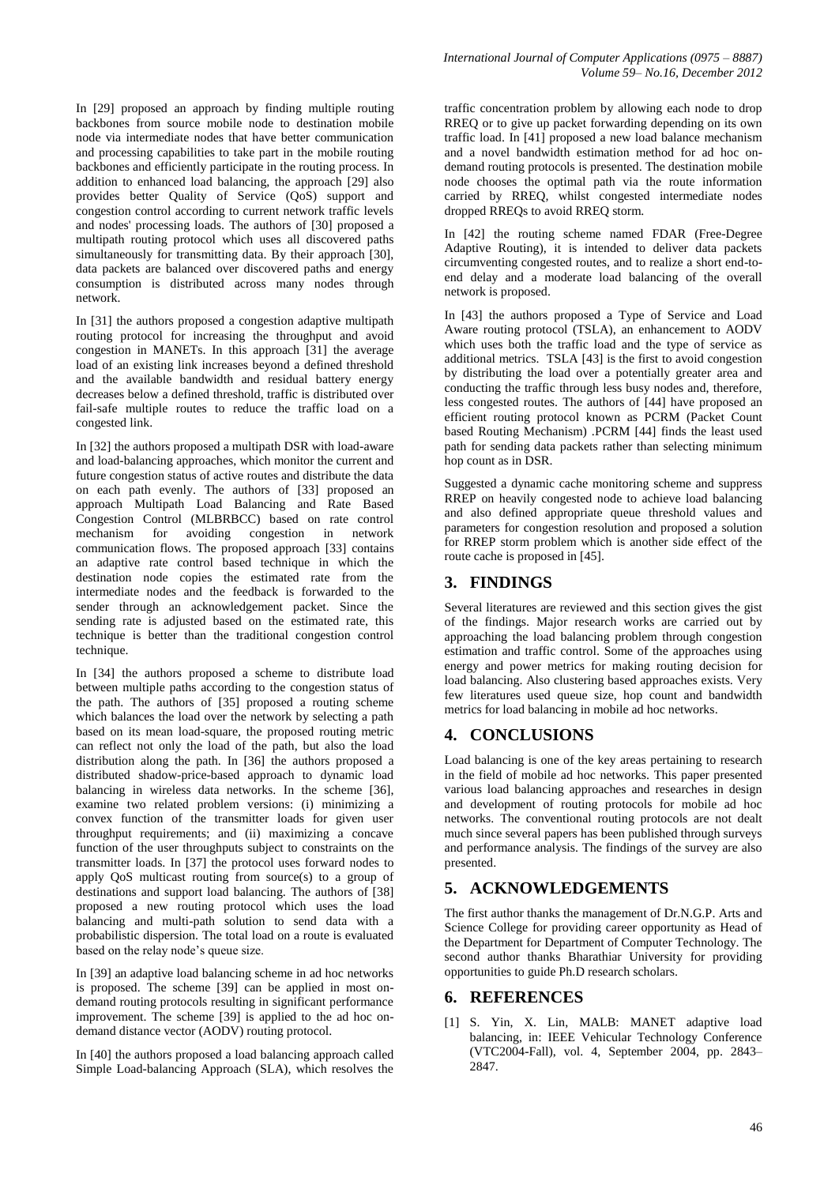In [29] proposed an approach by finding multiple routing backbones from source mobile node to destination mobile node via intermediate nodes that have better communication and processing capabilities to take part in the mobile routing backbones and efficiently participate in the routing process. In addition to enhanced load balancing, the approach [29] also provides better Quality of Service (QoS) support and congestion control according to current network traffic levels and nodes' processing loads. The authors of [30] proposed a multipath routing protocol which uses all discovered paths simultaneously for transmitting data. By their approach [30], data packets are balanced over discovered paths and energy consumption is distributed across many nodes through network.

In [31] the authors proposed a congestion adaptive multipath routing protocol for increasing the throughput and avoid congestion in MANETs. In this approach [31] the average load of an existing link increases beyond a defined threshold and the available bandwidth and residual battery energy decreases below a defined threshold, traffic is distributed over fail-safe multiple routes to reduce the traffic load on a congested link.

In [32] the authors proposed a multipath DSR with load-aware and load-balancing approaches, which monitor the current and future congestion status of active routes and distribute the data on each path evenly. The authors of [33] proposed an approach Multipath Load Balancing and Rate Based Congestion Control (MLBRBCC) based on rate control mechanism for avoiding congestion in network communication flows. The proposed approach [33] contains an adaptive rate control based technique in which the destination node copies the estimated rate from the intermediate nodes and the feedback is forwarded to the sender through an acknowledgement packet. Since the sending rate is adjusted based on the estimated rate, this technique is better than the traditional congestion control technique.

In [34] the authors proposed a scheme to distribute load between multiple paths according to the congestion status of the path. The authors of [35] proposed a routing scheme which balances the load over the network by selecting a path based on its mean load-square, the proposed routing metric can reflect not only the load of the path, but also the load distribution along the path. In [36] the authors proposed a distributed shadow-price-based approach to dynamic load balancing in wireless data networks. In the scheme [36], examine two related problem versions: (i) minimizing a convex function of the transmitter loads for given user throughput requirements; and (ii) maximizing a concave function of the user throughputs subject to constraints on the transmitter loads. In [37] the protocol uses forward nodes to apply QoS multicast routing from source(s) to a group of destinations and support load balancing. The authors of [38] proposed a new routing protocol which uses the load balancing and multi-path solution to send data with a probabilistic dispersion. The total load on a route is evaluated based on the relay node's queue size.

In [39] an adaptive load balancing scheme in ad hoc networks is proposed. The scheme [39] can be applied in most ondemand routing protocols resulting in significant performance improvement. The scheme [39] is applied to the ad hoc ondemand distance vector (AODV) routing protocol.

In [40] the authors proposed a load balancing approach called Simple Load-balancing Approach (SLA), which resolves the traffic concentration problem by allowing each node to drop RREQ or to give up packet forwarding depending on its own traffic load. In [41] proposed a new load balance mechanism and a novel bandwidth estimation method for ad hoc ondemand routing protocols is presented. The destination mobile node chooses the optimal path via the route information carried by RREQ, whilst congested intermediate nodes dropped RREQs to avoid RREQ storm.

In [42] the routing scheme named FDAR (Free-Degree Adaptive Routing), it is intended to deliver data packets circumventing congested routes, and to realize a short end-toend delay and a moderate load balancing of the overall network is proposed.

In [43] the authors proposed a Type of Service and Load Aware routing protocol (TSLA), an enhancement to AODV which uses both the traffic load and the type of service as additional metrics. TSLA [43] is the first to avoid congestion by distributing the load over a potentially greater area and conducting the traffic through less busy nodes and, therefore, less congested routes. The authors of [44] have proposed an efficient routing protocol known as PCRM (Packet Count based Routing Mechanism) .PCRM [44] finds the least used path for sending data packets rather than selecting minimum hop count as in DSR.

Suggested a dynamic cache monitoring scheme and suppress RREP on heavily congested node to achieve load balancing and also defined appropriate queue threshold values and parameters for congestion resolution and proposed a solution for RREP storm problem which is another side effect of the route cache is proposed in [45].

# **3. FINDINGS**

Several literatures are reviewed and this section gives the gist of the findings. Major research works are carried out by approaching the load balancing problem through congestion estimation and traffic control. Some of the approaches using energy and power metrics for making routing decision for load balancing. Also clustering based approaches exists. Very few literatures used queue size, hop count and bandwidth metrics for load balancing in mobile ad hoc networks.

## **4. CONCLUSIONS**

Load balancing is one of the key areas pertaining to research in the field of mobile ad hoc networks. This paper presented various load balancing approaches and researches in design and development of routing protocols for mobile ad hoc networks. The conventional routing protocols are not dealt much since several papers has been published through surveys and performance analysis. The findings of the survey are also presented.

## **5. ACKNOWLEDGEMENTS**

The first author thanks the management of Dr.N.G.P. Arts and Science College for providing career opportunity as Head of the Department for Department of Computer Technology. The second author thanks Bharathiar University for providing opportunities to guide Ph.D research scholars.

## **6. REFERENCES**

[1] S. Yin, X. Lin, MALB: MANET adaptive load balancing, in: IEEE Vehicular Technology Conference (VTC2004-Fall), vol. 4, September 2004, pp. 2843– 2847.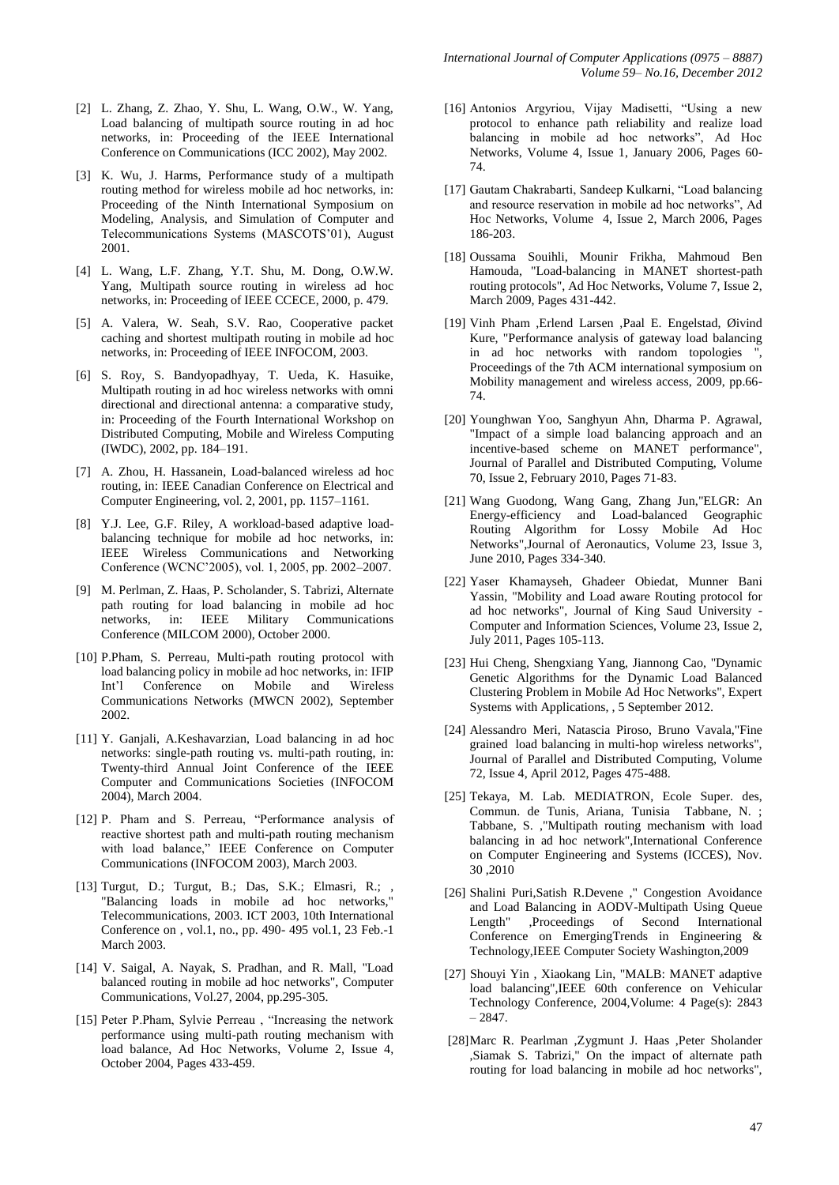- [2] L. Zhang, Z. Zhao, Y. Shu, L. Wang, O.W., W. Yang, Load balancing of multipath source routing in ad hoc networks, in: Proceeding of the IEEE International Conference on Communications (ICC 2002), May 2002.
- [3] K. Wu, J. Harms, Performance study of a multipath routing method for wireless mobile ad hoc networks, in: Proceeding of the Ninth International Symposium on Modeling, Analysis, and Simulation of Computer and Telecommunications Systems (MASCOTS'01), August 2001.
- [4] L. Wang, L.F. Zhang, Y.T. Shu, M. Dong, O.W.W. Yang, Multipath source routing in wireless ad hoc networks, in: Proceeding of IEEE CCECE, 2000, p. 479.
- [5] A. Valera, W. Seah, S.V. Rao, Cooperative packet caching and shortest multipath routing in mobile ad hoc networks, in: Proceeding of IEEE INFOCOM, 2003.
- [6] S. Roy, S. Bandyopadhyay, T. Ueda, K. Hasuike, Multipath routing in ad hoc wireless networks with omni directional and directional antenna: a comparative study, in: Proceeding of the Fourth International Workshop on Distributed Computing, Mobile and Wireless Computing (IWDC), 2002, pp. 184–191.
- [7] A. Zhou, H. Hassanein, Load-balanced wireless ad hoc routing, in: IEEE Canadian Conference on Electrical and Computer Engineering, vol. 2, 2001, pp. 1157–1161.
- [8] Y.J. Lee, G.F. Riley, A workload-based adaptive loadbalancing technique for mobile ad hoc networks, in: IEEE Wireless Communications and Networking Conference (WCNC'2005), vol. 1, 2005, pp. 2002–2007.
- [9] M. Perlman, Z. Haas, P. Scholander, S. Tabrizi, Alternate path routing for load balancing in mobile ad hoc networks, in: IEEE Military Communications Conference (MILCOM 2000), October 2000.
- [10] P.Pham, S. Perreau, Multi-path routing protocol with load balancing policy in mobile ad hoc networks, in: IFIP Int'l Conference on Mobile and Wireless Communications Networks (MWCN 2002), September 2002.
- [11] Y. Ganjali, A.Keshavarzian, Load balancing in ad hoc networks: single-path routing vs. multi-path routing, in: Twenty-third Annual Joint Conference of the IEEE Computer and Communications Societies (INFOCOM 2004), March 2004.
- [12] P. Pham and S. Perreau, "Performance analysis of reactive shortest path and multi-path routing mechanism with load balance," IEEE Conference on Computer Communications (INFOCOM 2003), March 2003.
- [13] Turgut, D.; Turgut, B.; Das, S.K.; Elmasri, R.; , "Balancing loads in mobile ad hoc networks," Telecommunications, 2003. ICT 2003, 10th International Conference on , vol.1, no., pp. 490- 495 vol.1, 23 Feb.-1 March 2003.
- [14] V. Saigal, A. Nayak, S. Pradhan, and R. Mall, "Load balanced routing in mobile ad hoc networks", Computer Communications, Vol.27, 2004, pp.295-305.
- [15] Peter P.Pham, Sylvie Perreau , "Increasing the network performance using multi-path routing mechanism with load balance, Ad Hoc Networks, Volume 2, Issue 4, October 2004, Pages 433-459.
- [16] Antonios Argyriou, Vijay Madisetti, "Using a new protocol to enhance path reliability and realize load balancing in mobile ad hoc networks", Ad Hoc Networks, Volume 4, Issue 1, January 2006, Pages 60- 74.
- [17] Gautam Chakrabarti, Sandeep Kulkarni, "Load balancing and resource reservation in mobile ad hoc networks", Ad Hoc Networks, Volume 4, Issue 2, March 2006, Pages 186-203.
- [18] Oussama Souihli, Mounir Frikha, Mahmoud Ben Hamouda, "Load-balancing in MANET shortest-path routing protocols", Ad Hoc Networks, Volume 7, Issue 2, March 2009, Pages 431-442.
- [19] Vinh Pham ,Erlend Larsen ,Paal E. Engelstad, Øivind Kure, "Performance analysis of gateway load balancing in ad hoc networks with random topologies ", Proceedings of the 7th ACM international symposium on Mobility management and wireless access, 2009, pp.66- 74.
- [20] Younghwan Yoo, Sanghyun Ahn, Dharma P. Agrawal, "Impact of a simple load balancing approach and an incentive-based scheme on MANET performance", Journal of Parallel and Distributed Computing, Volume 70, Issue 2, February 2010, Pages 71-83.
- [21] Wang Guodong, Wang Gang, Zhang Jun,"ELGR: An Energy-efficiency and Load-balanced Geographic Routing Algorithm for Lossy Mobile Ad Hoc Networks",Journal of Aeronautics, Volume 23, Issue 3, June 2010, Pages 334-340.
- [22] Yaser Khamayseh, Ghadeer Obiedat, Munner Bani Yassin, "Mobility and Load aware Routing protocol for ad hoc networks", Journal of King Saud University - Computer and Information Sciences, Volume 23, Issue 2, July 2011, Pages 105-113.
- [23] Hui Cheng, Shengxiang Yang, Jiannong Cao, "Dynamic Genetic Algorithms for the Dynamic Load Balanced Clustering Problem in Mobile Ad Hoc Networks", Expert Systems with Applications, , 5 September 2012.
- [24] Alessandro Meri, Natascia Piroso, Bruno Vavala,"Fine grained load balancing in multi-hop wireless networks", Journal of Parallel and Distributed Computing, Volume 72, Issue 4, April 2012, Pages 475-488.
- [25] Tekaya, M. Lab. MEDIATRON, Ecole Super. des, Commun. de Tunis, Ariana, Tunisia Tabbane, N. ; Tabbane, S. ,"Multipath routing mechanism with load balancing in ad hoc network",International Conference on Computer Engineering and Systems (ICCES), Nov. 30 ,2010
- [26] Shalini Puri,Satish R.Devene ," Congestion Avoidance and Load Balancing in AODV-Multipath Using Queue Length" ,Proceedings of Second International Conference on EmergingTrends in Engineering & Technology,IEEE Computer Society Washington,2009
- [27] Shouyi Yin , Xiaokang Lin, "MALB: MANET adaptive load balancing",IEEE 60th conference on Vehicular Technology Conference, 2004,Volume: 4 Page(s): 2843 – 2847.
- [28]Marc R. Pearlman ,Zygmunt J. Haas ,Peter Sholander ,Siamak S. Tabrizi," On the impact of alternate path routing for load balancing in mobile ad hoc networks",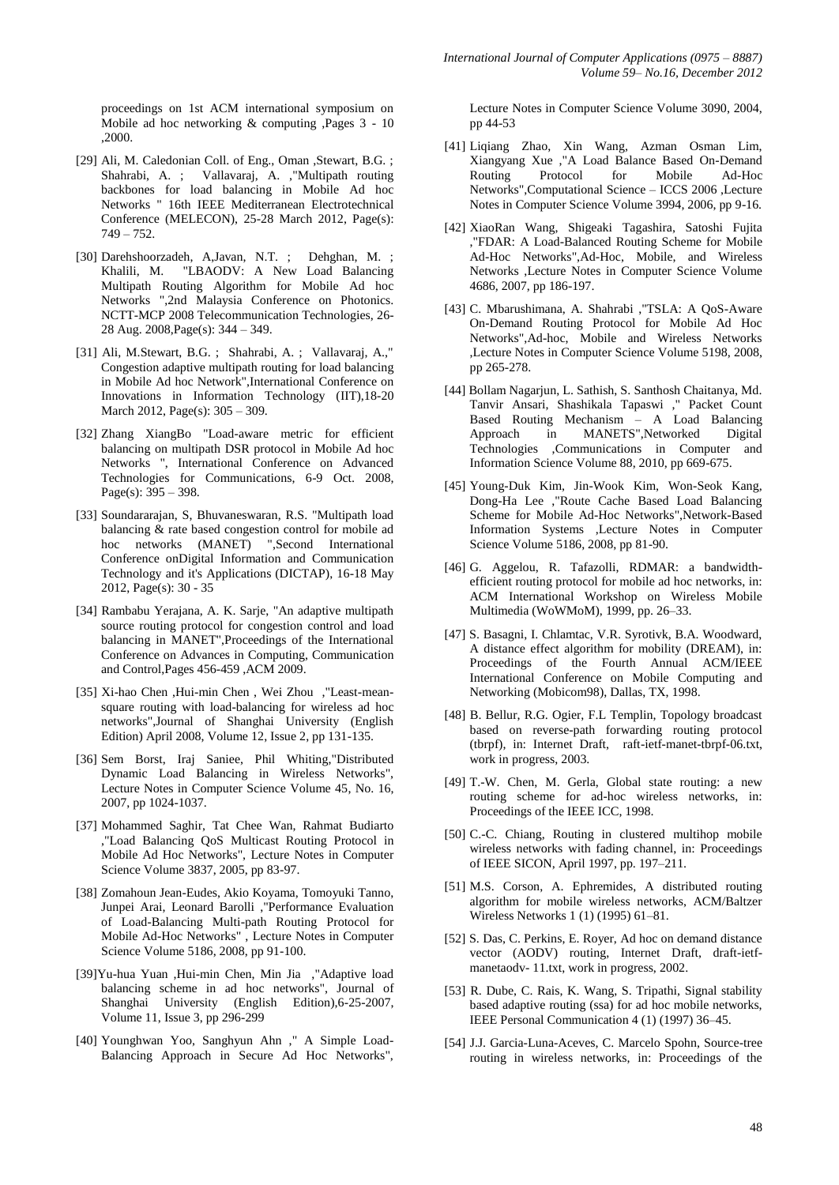proceedings on 1st ACM international symposium on Mobile ad hoc networking & computing ,Pages 3 - 10 ,2000.

- [29] Ali, M. Caledonian Coll. of Eng., Oman , Stewart, B.G. ; Shahrabi, A. ; Vallavaraj, A. ,"Multipath routing backbones for load balancing in Mobile Ad hoc Networks " 16th IEEE Mediterranean Electrotechnical Conference (MELECON), 25-28 March 2012, Page(s):  $749 - 752.$
- [30] Darehshoorzadeh, A,Javan, N.T. ; Dehghan, M. ; Khalili, M. "LBAODV: A New Load Balancing Multipath Routing Algorithm for Mobile Ad hoc Networks ",2nd Malaysia Conference on Photonics. NCTT-MCP 2008 Telecommunication Technologies, 26- 28 Aug. 2008,Page(s): 344 – 349.
- [31] Ali, M.Stewart, B.G. ; Shahrabi, A. ; Vallavaraj, A.," Congestion adaptive multipath routing for load balancing in Mobile Ad hoc Network",International Conference on Innovations in Information Technology (IIT),18-20 March 2012, Page(s): 305 – 309.
- [32] Zhang XiangBo "Load-aware metric for efficient balancing on multipath DSR protocol in Mobile Ad hoc Networks ", International Conference on Advanced Technologies for Communications, 6-9 Oct. 2008, Page(s):  $395 - 398$ .
- [33] Soundararajan, S, Bhuvaneswaran, R.S. "Multipath load balancing & rate based congestion control for mobile ad hoc networks (MANET) ",Second International Conference onDigital Information and Communication Technology and it's Applications (DICTAP), 16-18 May 2012, Page(s): 30 - 35
- [34] Rambabu Yerajana, A. K. Sarje, "An adaptive multipath source routing protocol for congestion control and load balancing in MANET",Proceedings of the International Conference on Advances in Computing, Communication and Control,Pages 456-459 ,ACM 2009.
- [35] Xi-hao Chen ,Hui-min Chen , Wei Zhou ,"Least-meansquare routing with load-balancing for wireless ad hoc networks",Journal of Shanghai University (English Edition) April 2008, Volume 12, Issue 2, pp 131-135.
- [36] Sem Borst, Iraj Saniee, Phil Whiting,"Distributed Dynamic Load Balancing in Wireless Networks", Lecture Notes in Computer Science Volume 45, No. 16, 2007, pp 1024-1037.
- [37] Mohammed Saghir, Tat Chee Wan, Rahmat Budiarto ,"Load Balancing QoS Multicast Routing Protocol in Mobile Ad Hoc Networks", Lecture Notes in Computer Science Volume 3837, 2005, pp 83-97.
- [38] Zomahoun Jean-Eudes, Akio Koyama, Tomoyuki Tanno, Junpei Arai, Leonard Barolli ,"Performance Evaluation of Load-Balancing Multi-path Routing Protocol for Mobile Ad-Hoc Networks" , Lecture Notes in Computer Science Volume 5186, 2008, pp 91-100.
- [39]Yu-hua Yuan ,Hui-min Chen, Min Jia ,"Adaptive load balancing scheme in ad hoc networks", Journal of Shanghai University (English Edition),6-25-2007, Volume 11, Issue 3, pp 296-299
- [40] Younghwan Yoo, Sanghyun Ahn ," A Simple Load-Balancing Approach in Secure Ad Hoc Networks",

Lecture Notes in Computer Science Volume 3090, 2004, pp 44-53

- [41] Liqiang Zhao, Xin Wang, Azman Osman Lim, Xiangyang Xue ,"A Load Balance Based On-Demand Protocol Networks",Computational Science – ICCS 2006 ,Lecture Notes in Computer Science Volume 3994, 2006, pp 9-16.
- [42] XiaoRan Wang, Shigeaki Tagashira, Satoshi Fujita ,"FDAR: A Load-Balanced Routing Scheme for Mobile Ad-Hoc Networks",Ad-Hoc, Mobile, and Wireless Networks ,Lecture Notes in Computer Science Volume 4686, 2007, pp 186-197.
- [43] C. Mbarushimana, A. Shahrabi ,"TSLA: A QoS-Aware On-Demand Routing Protocol for Mobile Ad Hoc Networks",Ad-hoc, Mobile and Wireless Networks ,Lecture Notes in Computer Science Volume 5198, 2008, pp 265-278.
- [44] Bollam Nagarjun, L. Sathish, S. Santhosh Chaitanya, Md. Tanvir Ansari, Shashikala Tapaswi ," Packet Count Based Routing Mechanism – A Load Balancing Approach in MANETS",Networked Digital Technologies ,Communications in Computer and Information Science Volume 88, 2010, pp 669-675.
- [45] Young-Duk Kim, Jin-Wook Kim, Won-Seok Kang, Dong-Ha Lee ,"Route Cache Based Load Balancing Scheme for Mobile Ad-Hoc Networks",Network-Based Information Systems ,Lecture Notes in Computer Science Volume 5186, 2008, pp 81-90.
- [46] G. Aggelou, R. Tafazolli, RDMAR: a bandwidthefficient routing protocol for mobile ad hoc networks, in: ACM International Workshop on Wireless Mobile Multimedia (WoWMoM), 1999, pp. 26–33.
- [47] S. Basagni, I. Chlamtac, V.R. Syrotivk, B.A. Woodward, A distance effect algorithm for mobility (DREAM), in: Proceedings of the Fourth Annual ACM/IEEE International Conference on Mobile Computing and Networking (Mobicom98), Dallas, TX, 1998.
- [48] B. Bellur, R.G. Ogier, F.L Templin, Topology broadcast based on reverse-path forwarding routing protocol (tbrpf), in: Internet Draft, raft-ietf-manet-tbrpf-06.txt, work in progress, 2003.
- [49] T.-W. Chen, M. Gerla, Global state routing: a new routing scheme for ad-hoc wireless networks, in: Proceedings of the IEEE ICC, 1998.
- [50] C.-C. Chiang, Routing in clustered multihop mobile wireless networks with fading channel, in: Proceedings of IEEE SICON, April 1997, pp. 197–211.
- [51] M.S. Corson, A. Ephremides, A distributed routing algorithm for mobile wireless networks, ACM/Baltzer Wireless Networks 1 (1) (1995) 61–81.
- [52] S. Das, C. Perkins, E. Royer, Ad hoc on demand distance vector (AODV) routing, Internet Draft, draft-ietfmanetaodv- 11.txt, work in progress, 2002.
- [53] R. Dube, C. Rais, K. Wang, S. Tripathi, Signal stability based adaptive routing (ssa) for ad hoc mobile networks, IEEE Personal Communication 4 (1) (1997) 36–45.
- [54] J.J. Garcia-Luna-Aceves, C. Marcelo Spohn, Source-tree routing in wireless networks, in: Proceedings of the